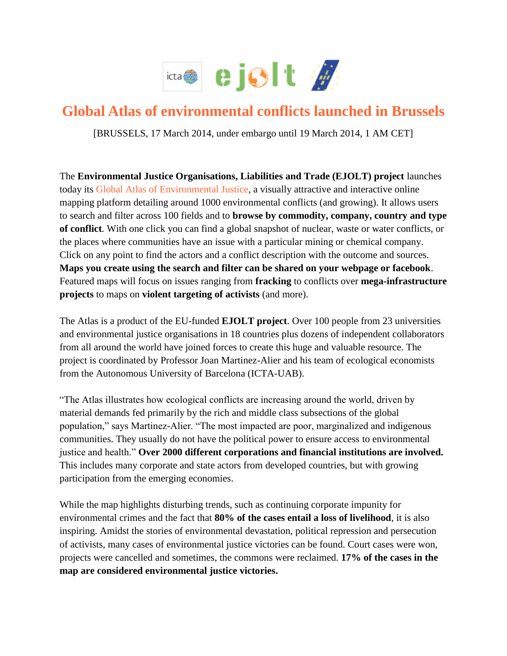

## **Global Atlas of environmental conflicts launched in Brussels**

[BRUSSELS, 17 March 2014, under embargo until 19 March 2014, 1 AM CET]

The **Environmental Justice Organisations, Liabilities and Trade (EJOLT) project** launches today its [Global Atlas of Environmental Justice,](http://ejatlas.org/) a visually attractive and interactive online mapping platform detailing around 1000 environmental conflicts (and growing). It allows users to search and filter across 100 fields and to **browse by commodity, company, country and type of conflict**. With one click you can find a global snapshot of nuclear, waste or water conflicts, or the places where communities have an issue with a particular mining or chemical company. Click on any point to find the actors and a conflict description with the outcome and sources. **Maps you create using the search and filter can be shared on your webpage or facebook**. Featured maps will focus on issues ranging from **fracking** to conflicts over **mega-infrastructure projects** to maps on **violent targeting of activists** (and more).

The Atlas is a product of the EU-funded **EJOLT project**. Over 100 people from 23 universities and environmental justice organisations in 18 countries plus dozens of independent collaborators from all around the world have joined forces to create this huge and valuable resource. The project is coordinated by Professor Joan Martinez-Alier and his team of ecological economists from the Autonomous University of Barcelona (ICTA-UAB).

"The Atlas illustrates how ecological conflicts are increasing around the world, driven by material demands fed primarily by the rich and middle class subsections of the global population," says Martinez-Alier. "The most impacted are poor, marginalized and indigenous communities. They usually do not have the political power to ensure access to environmental justice and health." **Over 2000 different corporations and financial institutions are involved.**  This includes many corporate and state actors from developed countries, but with growing participation from the emerging economies.

While the map highlights disturbing trends, such as continuing corporate impunity for environmental crimes and the fact that **80% of the cases entail a loss of livelihood**, it is also inspiring. Amidst the stories of environmental devastation, political repression and persecution of activists, many cases of environmental justice victories can be found. Court cases were won, projects were cancelled and sometimes, the commons were reclaimed. **17% of the cases in the map are considered environmental justice victories.**